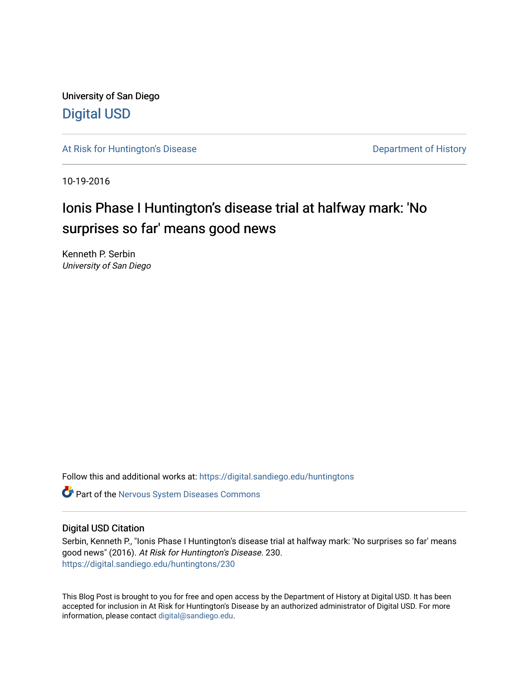University of San Diego [Digital USD](https://digital.sandiego.edu/)

[At Risk for Huntington's Disease](https://digital.sandiego.edu/huntingtons) **Department of History** Department of History

10-19-2016

# Ionis Phase I Huntington's disease trial at halfway mark: 'No surprises so far' means good news

Kenneth P. Serbin University of San Diego

Follow this and additional works at: [https://digital.sandiego.edu/huntingtons](https://digital.sandiego.edu/huntingtons?utm_source=digital.sandiego.edu%2Fhuntingtons%2F230&utm_medium=PDF&utm_campaign=PDFCoverPages)

**C** Part of the [Nervous System Diseases Commons](http://network.bepress.com/hgg/discipline/928?utm_source=digital.sandiego.edu%2Fhuntingtons%2F230&utm_medium=PDF&utm_campaign=PDFCoverPages)

## Digital USD Citation

Serbin, Kenneth P., "Ionis Phase I Huntington's disease trial at halfway mark: 'No surprises so far' means good news" (2016). At Risk for Huntington's Disease. 230. [https://digital.sandiego.edu/huntingtons/230](https://digital.sandiego.edu/huntingtons/230?utm_source=digital.sandiego.edu%2Fhuntingtons%2F230&utm_medium=PDF&utm_campaign=PDFCoverPages)

This Blog Post is brought to you for free and open access by the Department of History at Digital USD. It has been accepted for inclusion in At Risk for Huntington's Disease by an authorized administrator of Digital USD. For more information, please contact [digital@sandiego.edu.](mailto:digital@sandiego.edu)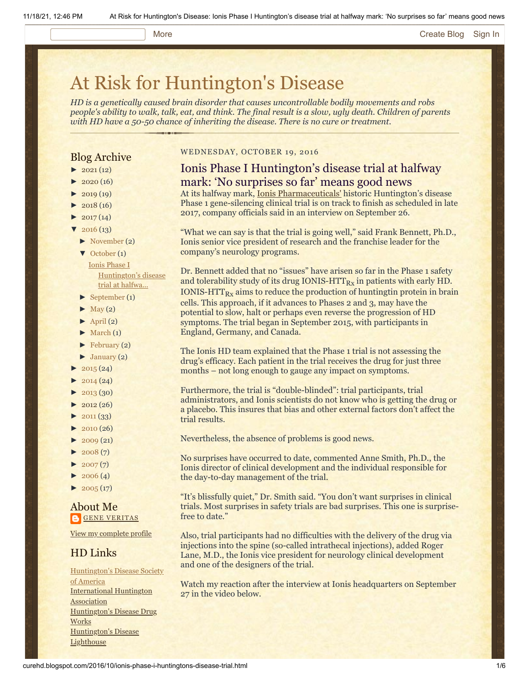#### More **[Create Blog](https://www.blogger.com/home#create) [Sign In](https://www.blogger.com/)**

# [At Risk for Huntington's Disease](http://curehd.blogspot.com/)

*HD is a genetically caused brain disorder that causes uncontrollable bodily movements and robs people's ability to walk, talk, eat, and think. The final result is a slow, ugly death. Children of parents with HD have a 50-50 chance of inheriting the disease. There is no cure or treatment.*

# Blog Archive

- $\blacktriangleright$  [2021](http://curehd.blogspot.com/2021/) (12)
- $2020(16)$  $2020(16)$
- $2019(19)$  $2019(19)$
- $2018(16)$  $2018(16)$
- $2017(14)$  $2017(14)$
- $2016(13)$  $2016(13)$
- [►](javascript:void(0)) [November](http://curehd.blogspot.com/2016/11/) (2)
- [▼](javascript:void(0)) [October](http://curehd.blogspot.com/2016/10/) (1) Ionis Phase I [Huntington's](http://curehd.blogspot.com/2016/10/ionis-phase-i-huntingtons-disease-trial.html) disease
	- trial at halfwa...
- [►](javascript:void(0)) [September](http://curehd.blogspot.com/2016/09/) (1)
- $\blacktriangleright$  [May](http://curehd.blogspot.com/2016/05/) (2)
- $\blacktriangleright$  [April](http://curehd.blogspot.com/2016/04/) (2)  $\blacktriangleright$  [March](http://curehd.blogspot.com/2016/03/)  $(1)$
- $\blacktriangleright$  [February](http://curehd.blogspot.com/2016/02/) (2)
- $\blacktriangleright$  [January](http://curehd.blogspot.com/2016/01/) (2)
- $\blacktriangleright$  [2015](http://curehd.blogspot.com/2015/) (24)
- 
- $2014(24)$  $2014(24)$
- [►](javascript:void(0)) [2013](http://curehd.blogspot.com/2013/) (30)  $\blacktriangleright$  [2012](http://curehd.blogspot.com/2012/) (26)
- $\blacktriangleright$  [2011](http://curehd.blogspot.com/2011/) (33)
- $\blacktriangleright$  [2010](http://curehd.blogspot.com/2010/) (26)
- $\blacktriangleright$  [2009](http://curehd.blogspot.com/2009/) (21)
- $\blacktriangleright$  [2008](http://curehd.blogspot.com/2008/) $(7)$
- $\blacktriangleright$  [2007](http://curehd.blogspot.com/2007/) $(7)$
- $\blacktriangleright$  [2006](http://curehd.blogspot.com/2006/) (4)
- $\blacktriangleright$  [2005](http://curehd.blogspot.com/2005/) (17)

# About Me **GENE [VERITAS](https://www.blogger.com/profile/10911736205741688185)**

View my [complete](https://www.blogger.com/profile/10911736205741688185) profile

# HD Links

[Huntington's](http://www.hdsa.org/) Disease Society of America [International](http://www.huntington-assoc.com/) Huntington **Association** [Huntington's](http://hddrugworks.org/) Disease Drug **Works** [Huntington's](http://www.hdlighthouse.org/) Disease **Lighthouse** 

#### WEDNESDAY, OCTOBER 19, 2016

# Ionis Phase I Huntington's disease trial at halfway mark: 'No surprises so far' means good news

At its halfway mark, [Ionis Pharmaceuticals'](http://www.ionispharma.com/) historic Huntington's disease Phase 1 gene-silencing clinical trial is on track to finish as scheduled in late 2017, company officials said in an interview on September 26.

"What we can say is that the trial is going well," said Frank Bennett, Ph.D., Ionis senior vice president of research and the franchise leader for the company's neurology programs.

Dr. Bennett added that no "issues" have arisen so far in the Phase 1 safety and tolerability study of its drug IONIS- $\text{HTT}_{\text{Rx}}$  in patients with early HD. IONIS-HTT $_{Rx}$  aims to reduce the production of huntingtin protein in brain cells. This approach, if it advances to Phases 2 and 3, may have the potential to slow, halt or perhaps even reverse the progression of HD symptoms. The trial began in September 2015, with participants in England, Germany, and Canada.

The Ionis HD team explained that the Phase 1 trial is not assessing the drug's efficacy. Each patient in the trial receives the drug for just three months – not long enough to gauge any impact on symptoms.

Furthermore, the trial is "double-blinded": trial participants, trial administrators, and Ionis scientists do not know who is getting the drug or a placebo. This insures that bias and other external factors don't affect the trial results.

Nevertheless, the absence of problems is good news.

No surprises have occurred to date, commented Anne Smith, Ph.D., the Ionis director of clinical development and the individual responsible for the day-to-day management of the trial.

"It's blissfully quiet," Dr. Smith said. "You don't want surprises in clinical trials. Most surprises in safety trials are bad surprises. This one is surprisefree to date."

Also, trial participants had no difficulties with the delivery of the drug via injections into the spine (so-called intrathecal injections), added Roger Lane, M.D., the Ionis vice president for neurology clinical development and one of the designers of the trial.

Watch my reaction after the interview at Ionis headquarters on September 27 in the video below.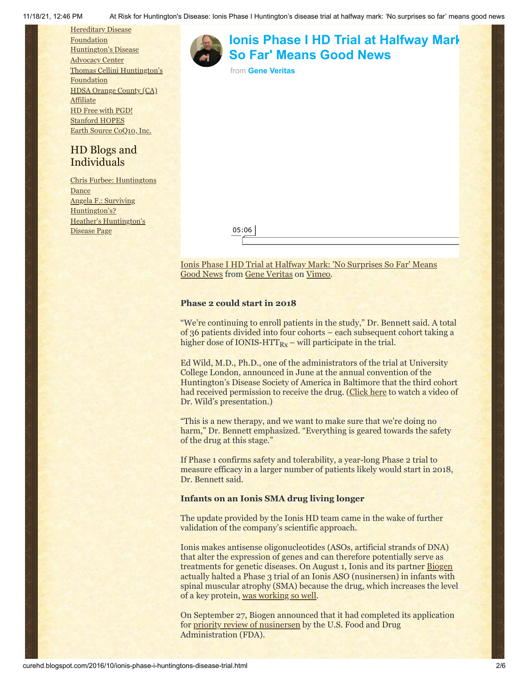**Hereditary Disease** [Foundation](http://www.hdfoundation.org/) [Huntington's](http://www.hdac.org/) Disease **Advocacy Center** Thomas [Cellini Huntington's](http://www.ourtchfoundation.org/) **Foundation** HDSA [Orange](http://www.hdsaoc.org/) County (CA) **Affiliate** HD Free with [PGD!](http://www.hdfreewithpgd.com/) [Stanford](http://www.stanford.edu/group/hopes/) HOPES Earth Source [CoQ10,](http://www.escoq10.com/) Inc.

# HD Blogs and Individuals

Chris Furbee: [Huntingtons](http://www.huntingtonsdance.org/) Dance Angela F.: Surviving [Huntington's?](http://survivinghuntingtons.blogspot.com/) Heather's [Huntington's](http://heatherdugdale.angelfire.com/) Disease Page





[Ionis Phase I HD Trial at Halfway Mark: 'No Surprises So Far' Means](https://vimeo.com/184631494) Good News from [Gene Veritas](https://vimeo.com/user6019843) on [Vimeo](https://vimeo.com/).

# **Phase 2 could start in 2018**

"We're continuing to enroll patients in the study," Dr. Bennett said. A total of 36 patients divided into four cohorts – each subsequent cohort taking a higher dose of IONIS-HTT $_{Rx}$  – will participate in the trial.

Ed Wild, M.D., Ph.D., one of the administrators of the trial at University College London, announced in June at the annual convention of the Huntington's Disease Society of America in Baltimore that the third cohort had received permission to receive the drug. ([Click here](https://www.youtube.com/watch?v=UKEGaJMZOCg) to watch a video of Dr. Wild's presentation.)

"This is a new therapy, and we want to make sure that we're doing no harm," Dr. Bennett emphasized. "Everything is geared towards the safety of the drug at this stage."

If Phase 1 confirms safety and tolerability, a year-long Phase 2 trial to measure efficacy in a larger number of patients likely would start in 2018, Dr. Bennett said.

#### **Infants on an Ionis SMA drug living longer**

The update provided by the Ionis HD team came in the wake of further validation of the company's scientific approach.

Ionis makes antisense oligonucleotides (ASOs, artificial strands of DNA) that alter the expression of genes and can therefore potentially serve as treatments for genetic diseases. On August 1, Ionis and its partner [Biogen](https://www.biogen.com/) actually halted a Phase 3 trial of an Ionis ASO (nusinersen) in infants with spinal muscular atrophy (SMA) because the drug, which increases the level of a key protein, [was working so well](http://www.sandiegouniontribune.com/business/biotech/sdut-sma-ionis-biogen-antisense-2016aug01-story.html).

On September 27, Biogen announced that it had completed its application for [priority review of nusinersen](http://ir.ionispharma.com/phoenix.zhtml?c=222170&p=irol-newsArticle&ID=2205864) by the U.S. Food and Drug Administration (FDA).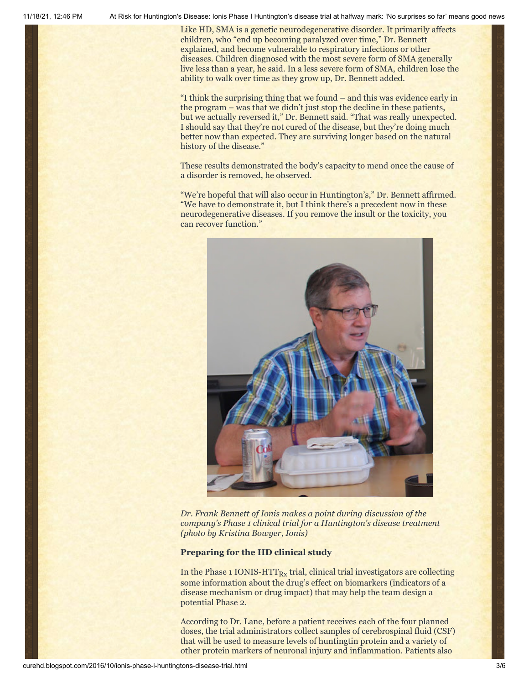11/18/21, 12:46 PM At Risk for Huntington's Disease: Ionis Phase I Huntington's disease trial at halfway mark: 'No surprises so far' means good news

Like HD, SMA is a genetic neurodegenerative disorder. It primarily affects children, who "end up becoming paralyzed over time," Dr. Bennett explained, and become vulnerable to respiratory infections or other diseases. Children diagnosed with the most severe form of SMA generally live less than a year, he said. In a less severe form of SMA, children lose the ability to walk over time as they grow up, Dr. Bennett added.

"I think the surprising thing that we found – and this was evidence early in the program – was that we didn't just stop the decline in these patients, but we actually reversed it," Dr. Bennett said. "That was really unexpected. I should say that they're not cured of the disease, but they're doing much better now than expected. They are surviving longer based on the natural history of the disease."

These results demonstrated the body's capacity to mend once the cause of a disorder is removed, he observed.

"We're hopeful that will also occur in Huntington's," Dr. Bennett affirmed. "We have to demonstrate it, but I think there's a precedent now in these neurodegenerative diseases. If you remove the insult or the toxicity, you can recover function."



*Dr. Frank Bennett of Ionis makes a point during discussion of the company's Phase 1 clinical trial for a Huntington's disease treatment (photo by Kristina Bowyer, Ionis)*

#### **Preparing for the HD clinical study**

In the Phase 1 IONIS-HTT $_{\rm{Rx}}$  trial, clinical trial investigators are collecting some information about the drug's effect on biomarkers (indicators of a disease mechanism or drug impact) that may help the team design a potential Phase 2.

According to Dr. Lane, before a patient receives each of the four planned doses, the trial administrators collect samples of cerebrospinal fluid (CSF) that will be used to measure levels of huntingtin protein and a variety of other protein markers of neuronal injury and inflammation. Patients also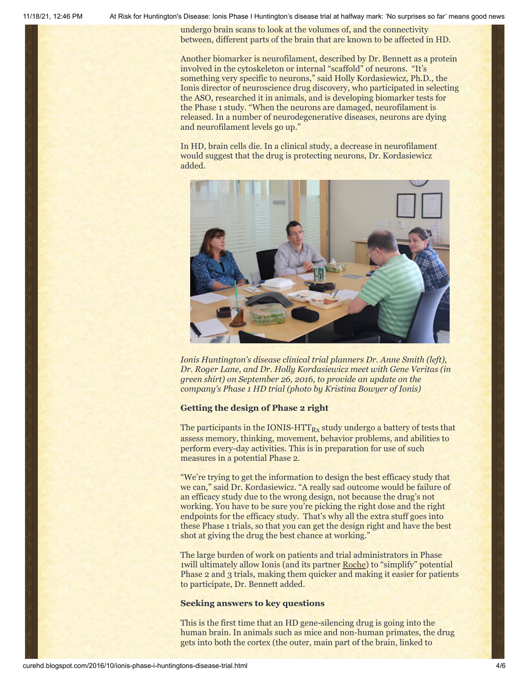11/18/21, 12:46 PM At Risk for Huntington's Disease: Ionis Phase I Huntington's disease trial at halfway mark: 'No surprises so far' means good news

undergo brain scans to look at the volumes of, and the connectivity between, different parts of the brain that are known to be affected in HD.

Another biomarker is neurofilament, described by Dr. Bennett as a protein involved in the cytoskeleton or internal "scaffold" of neurons. "It's something very specific to neurons," said Holly Kordasiewicz, Ph.D., the Ionis director of neuroscience drug discovery, who participated in selecting the ASO, researched it in animals, and is developing biomarker tests for the Phase 1 study. "When the neurons are damaged, neurofilament is released. In a number of neurodegenerative diseases, neurons are dying and neurofilament levels go up."

In HD, brain cells die. In a clinical study, a decrease in neurofilament would suggest that the drug is protecting neurons, Dr. Kordasiewicz added.



*Ionis Huntington's disease clinical trial planners Dr. Anne Smith (left), Dr. Roger Lane, and Dr. Holly Kordasiewicz meet with Gene Veritas (in green shirt) on September 26, 2016, to provide an update on the company's Phase 1 HD trial (photo by Kristina Bowyer of Ionis)*

#### **Getting the design of Phase 2 right**

The participants in the IONIS-HTT $_{\rm{Rx}}$  study undergo a battery of tests that assess memory, thinking, movement, behavior problems, and abilities to perform every-day activities. This is in preparation for use of such measures in a potential Phase 2.

"We're trying to get the information to design the best efficacy study that we can," said Dr. Kordasiewicz. "A really sad outcome would be failure of an efficacy study due to the wrong design, not because the drug's not working. You have to be sure you're picking the right dose and the right endpoints for the efficacy study. That's why all the extra stuff goes into these Phase 1 trials, so that you can get the design right and have the best shot at giving the drug the best chance at working."

The large burden of work on patients and trial administrators in Phase 1will ultimately allow Ionis (and its partner [Roche\)](http://www.roche.com/) to "simplify" potential Phase 2 and 3 trials, making them quicker and making it easier for patients to participate, Dr. Bennett added.

#### **Seeking answers to key questions**

This is the first time that an HD gene-silencing drug is going into the human brain. In animals such as mice and non-human primates, the drug gets into both the cortex (the outer, main part of the brain, linked to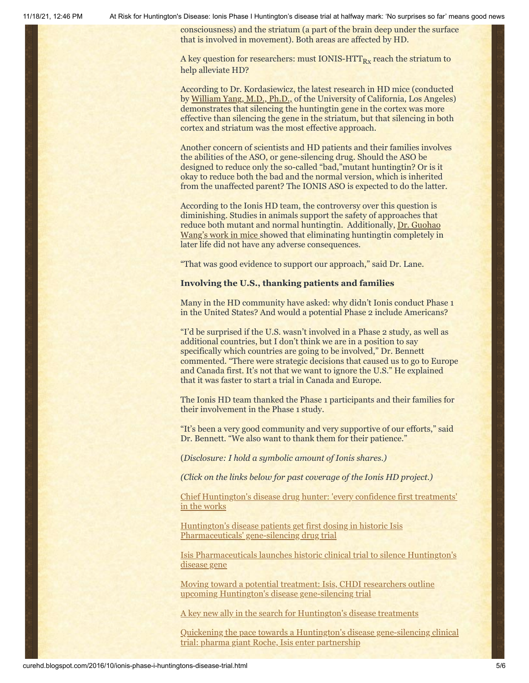11/18/21, 12:46 PM At Risk for Huntington's Disease: Ionis Phase I Huntington's disease trial at halfway mark: 'No surprises so far' means good news

consciousness) and the striatum (a part of the brain deep under the surface that is involved in movement). Both areas are affected by HD.

A key question for researchers: must IONIS-HTT $_{\rm{Rx}}$  reach the striatum to help alleviate HD?

According to Dr. Kordasiewicz, the latest research in HD mice (conducted by [William Yang, M.D., Ph.D.,](http://yanglab.npih.ucla.edu/?page_id=384) of the University of California, Los Angeles) demonstrates that silencing the huntingtin gene in the cortex was more effective than silencing the gene in the striatum, but that silencing in both cortex and striatum was the most effective approach.

Another concern of scientists and HD patients and their families involves the abilities of the ASO, or gene-silencing drug. Should the ASO be designed to reduce only the so-called "bad,"mutant huntingtin? Or is it okay to reduce both the bad and the normal version, which is inherited from the unaffected parent? The IONIS ASO is expected to do the latter.

According to the Ionis HD team, the controversy over this question is diminishing. Studies in animals support the safety of approaches that reduce both mutant and normal huntingtin. Additionally, Dr. Guohao [Wang's work in mice showed that eliminating huntingtin completely in](https://www.ncbi.nlm.nih.gov/pubmed/26951659) later life did not have any adverse consequences.

"That was good evidence to support our approach," said Dr. Lane.

#### **Involving the U.S., thanking patients and families**

Many in the HD community have asked: why didn't Ionis conduct Phase 1 in the United States? And would a potential Phase 2 include Americans?

"I'd be surprised if the U.S. wasn't involved in a Phase 2 study, as well as additional countries, but I don't think we are in a position to say specifically which countries are going to be involved," Dr. Bennett commented. "There were strategic decisions that caused us to go to Europe and Canada first. It's not that we want to ignore the U.S." He explained that it was faster to start a trial in Canada and Europe.

The Ionis HD team thanked the Phase 1 participants and their families for their involvement in the Phase 1 study.

"It's been a very good community and very supportive of our efforts," said Dr. Bennett. "We also want to thank them for their patience."

(*Disclosure: I hold a symbolic amount of Ionis shares.)*

*(Click on the links below for past coverage of the Ionis HD project.)*

[Chief Huntington's disease drug hunter: 'every confidence first treatments'](http://curehd.blogspot.com/2016/02/chief-huntingtons-disease-drug-hunter.html) in the works

[Huntington's disease patients get first dosing in historic Isis](http://curehd.blogspot.com/2015/10/huntingtons-disease-patients-get-first.html) Pharmaceuticals' gene-silencing drug trial

[Isis Pharmaceuticals launches historic clinical trial to silence Huntington's](http://curehd.blogspot.com/2015/07/isis-pharmaceuticals-launches-historic.html) disease gene

[Moving toward a potential treatment: Isis, CHDI researchers outline](http://curehd.blogspot.com/2014/09/moving-toward-potential-treatment-isis.html) upcoming Huntington's disease gene-silencing trial

[A key new ally in the search for Huntington's disease treatments](http://curehd.blogspot.com/2013/04/a-key-new-ally-in-search-for.html)

[Quickening the pace towards a Huntington's disease gene-silencing clinical](http://curehd.blogspot.com/2013/04/quickening-pace-towards-huntingtons.html) trial: pharma giant Roche, Isis enter partnership